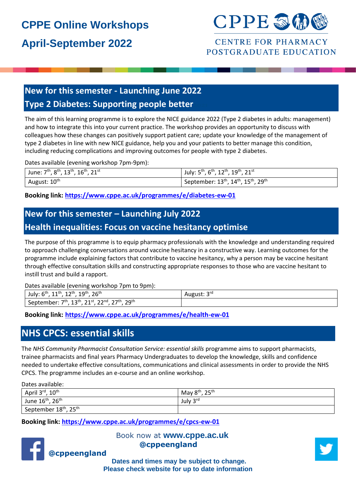# **CPPE Online Workshops April-September 2022**



#### **CENTRE FOR PHARMACY** POSTGRADUATE EDUCATION

#### **New for this semester - Launching June 2022 Type 2 Diabetes: Supporting people better**

The aim of this learning programme is to explore the NICE guidance 2022 (Type 2 diabetes in adults: management) and how to integrate this into your current practice. The workshop provides an opportunity to discuss with colleagues how these changes can positively support patient care; update your knowledge of the management of type 2 diabetes in line with new NICE guidance, help you and your patients to better manage this condition, including reducing complications and improving outcomes for people with type 2 diabetes.

Dates available (evening workshop 7pm-9pm):

| June: $7^{\text{th}}$ , $8^{\text{th}}$ , $13^{\text{th}}$ , $16^{\text{th}}$ , $21^{\text{st}}$ | July: $5^{th}$ , $6^{th}$ , $12^{th}$ , $19^{th}$ , $21^{st}$ |
|--------------------------------------------------------------------------------------------------|---------------------------------------------------------------|
| August: 10 <sup>th</sup>                                                                         | September: $13^{th}$ , $14^{th}$ , $15^{th}$ , $29^{th}$      |

**Booking link:<https://www.cppe.ac.uk/programmes/e/diabetes-ew-01>**

#### **New for this semester – Launching July 2022**

#### **Health inequalities: Focus on vaccine hesitancy optimise**

The purpose of this programme is to equip pharmacy professionals with the knowledge and understanding required to approach challenging conversations around vaccine hesitancy in a constructive way. Learning outcomes for the programme include explaining factors that contribute to vaccine hesitancy, why a person may be vaccine hesitant through effective consultation skills and constructing appropriate responses to those who are vaccine hesitant to instill trust and build a rapport.

Dates available (evening workshop 7pm to 9pm):

| 26 <sup>th</sup><br>$10^{th}$<br>July: $6th$<br>11th<br>1 ว <sup>th</sup><br>∸∸<br><b>. .</b><br><b>سـد</b> | <b>pra</b><br>August: 5 |
|-------------------------------------------------------------------------------------------------------------|-------------------------|
| 27 <sup>th</sup><br>20th<br>ววnd<br>12th<br>21st<br>7th<br>September: 7<br>∸<br>--<br><u>_ _</u><br>رے      |                         |

**Booking link: <https://www.cppe.ac.uk/programmes/e/health-ew-01>**

#### **NHS CPCS: essential skills**

The *NHS Community Pharmacist Consultation Service: essential skills* programme aims to support pharmacists, trainee pharmacists and final years Pharmacy Undergraduates to develop the knowledge, skills and confidence needed to undertake effective consultations, communications and clinical assessments in order to provide the NHS CPCS. The programme includes an e-course and an online workshop.

Dates available:

| $10^{\text{th}}$<br>April 3 <sup>rd</sup>     | May $8^{\text{th}}$ ,<br>$\mathcal{D}$ cth |
|-----------------------------------------------|--------------------------------------------|
| June 16 <sup>th</sup> , 26 <sup>th</sup>      | July 3rd                                   |
| September 18 <sup>th</sup> , 25 <sup>th</sup> |                                            |

**Booking link:<https://www.cppe.ac.uk/programmes/e/cpcs-ew-01>**



Book now at **[www.cppe.ac.uk](http://www.cppe.ac.uk/learningcommunities) @cppeengland** 



**Dates and times may be subject to change. Please check website for up to date information**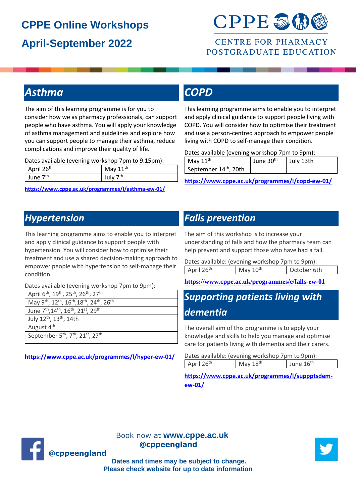# **CPPE Online Workshops April-September 2022**



#### **CENTRE FOR PHARMACY** POSTGRADUATE EDUCATION

# *Asthma*

The aim of this learning programme is for you to consider how we as pharmacy professionals, can support people who have asthma. You will apply your knowledge of asthma management and guidelines and explore how you can support people to manage their asthma, reduce complications and improve their quality of life.

Dates available (evening workshop 7pm to 9.15pm):

| April 26th           | May $11^{\text{th}}$ |
|----------------------|----------------------|
| June 7 <sup>th</sup> | July 7 <sup>th</sup> |

**<https://www.cppe.ac.uk/programmes/l/asthma-ew-01/>**

## *COPD*

This learning programme aims to enable you to interpret and apply clinical guidance to support people living with COPD. You will consider how to optimise their treatment and use a person-centred approach to empower people living with COPD to self-manage their condition.

Dates available (evening workshop 7pm to 9pm):

| May $11th$                        | June 30 <sup>th</sup> | July 13th |
|-----------------------------------|-----------------------|-----------|
| September 14 <sup>th</sup> , 20th |                       |           |

**<https://www.cppe.ac.uk/programmes/l/copd-ew-01/>**

## *Hypertension*

This learning programme aims to enable you to interpret and apply clinical guidance to support people with hypertension. You will consider how to optimise their treatment and use a shared decision-making approach to empower people with hypertension to self-manage their condition.

Dates available (evening workshop 7pm to 9pm):

| April 6 <sup>th</sup> , 19 <sup>th</sup> , 25 <sup>th</sup> , 26 <sup>th</sup> , 27 <sup>th</sup>                  |
|--------------------------------------------------------------------------------------------------------------------|
| May 9 <sup>th</sup> , 12 <sup>th</sup> , 16 <sup>th</sup> , 18 <sup>th</sup> , 24 <sup>th</sup> , 26 <sup>th</sup> |
| June 7 <sup>th</sup> , 14 <sup>th</sup> , 16 <sup>th</sup> , 21 <sup>st</sup> , 29 <sup>th</sup>                   |
| July 12 <sup>th</sup> , 13 <sup>th</sup> , 14th                                                                    |
| August 4 <sup>th</sup>                                                                                             |
| September 5 <sup>th</sup> , 7 <sup>th</sup> , 21 <sup>st</sup> , 27 <sup>th</sup>                                  |

**<https://www.cppe.ac.uk/programmes/l/hyper-ew-01/>**

#### *Falls prevention*

The aim of this workshop is to increase your understanding of falls and how the pharmacy team can help prevent and support those who have had a fall.

| Dates available: (evening workshop 7pm to 9pm): |            |             |
|-------------------------------------------------|------------|-------------|
| April 26 <sup>th</sup>                          | May $10th$ | October 6th |

**https://www.cppe.ac.uk/programmes/e/falls-ew-01**

## *Supporting patients living with dementia*

The overall aim of this programme is to apply your knowledge and skills to help you manage and optimise care for patients living with dementia and their carers.

| Dates available: (evening workshop 7pm to 9pm): |                        |                      |             |
|-------------------------------------------------|------------------------|----------------------|-------------|
|                                                 | April 26 <sup>th</sup> | May 18 <sup>th</sup> | June $16th$ |

**[https://www.cppe.ac.uk/programmes/l/suppptsdem](https://www.cppe.ac.uk/programmes/l/suppptsdem-ew-01/)[ew-01/](https://www.cppe.ac.uk/programmes/l/suppptsdem-ew-01/)**



Book now at **[www.cppe.ac.uk](http://www.cppe.ac.uk/learningcommunities) @cppeengland** 



**Dates and times may be subject to change. Please check website for up to date information**